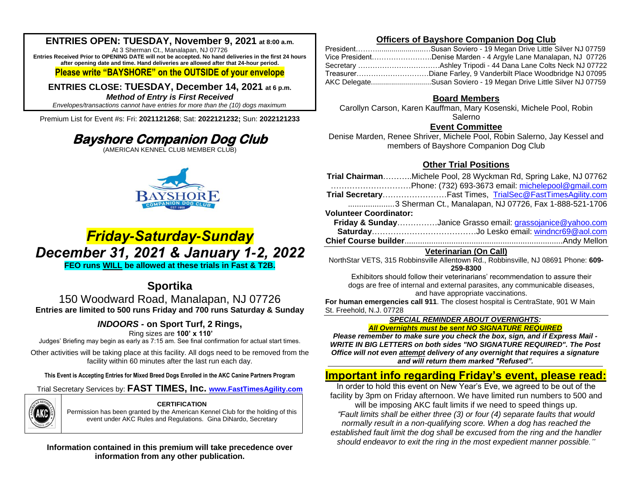## **ENTRIES OPEN: TUESDAY, November 9, 2021 at 8:00 a.m.**

At 3 Sherman Ct., Manalapan, NJ 07726 **Entries Received Prior to OPENING DATE will not be accepted. No hand deliveries in the first 24 hours after opening date and time. Hand deliveries are allowed after that 24-hour period.**

### **Please write "BAYSHORE" on the OUTSIDE of your envelope**

**ENTRIES CLOSE: TUESDAY, December 14, 2021 at 6 p.m.** *Method of Entry is First Received*

*Envelopes/transactions cannot have entries for more than the (10) dogs maximum*.

Premium List for Event #s: Fri: **2021121268**; Sat: **2022121232;** Sun: **2022121233**

# **Bayshore Companion Dog Club**

(AMERICAN KENNEL CLUB MEMBER CLUB)



# *Friday-Saturday-Sunday December 31, 2021 & January 1-2, 2022* **FEO runs WILL be allowed at these trials in Fast & T2B.**

## **Sportika**

150 Woodward Road, Manalapan, NJ 07726 **Entries are limited to 500 runs Friday and 700 runs Saturday & Sunday** 

## *INDOORS -* **on Sport Turf, 2 Rings,**

Ring sizes are **100' x 110'**

Judges' Briefing may begin as early as 7:15 am. See final confirmation for actual start times.

Other activities will be taking place at this facility. All dogs need to be removed from the facility within 60 minutes after the last run each day.

**This Event is Accepting Entries for Mixed Breed Dogs Enrolled in the AKC Canine Partners Program**

Trial Secretary Services by: **FAST TIMES, Inc. [www.FastTimesAgility.com](http://www.fasttimesagility.com/)**



#### **CERTIFICATION**

Permission has been granted by the American Kennel Club for the holding of this event under AKC Rules and Regulations. Gina DiNardo, Secretary

### **Information contained in this premium will take precedence over information from any other publication.**

### **Officers of Bayshore Companion Dog Club**

| Vice PresidentDenise Marden - 4 Argyle Lane Manalapan, NJ 07726   |
|-------------------------------------------------------------------|
|                                                                   |
| TreasurerDiane Farley, 9 Vanderbilt Place Woodbridge NJ 07095     |
| AKC DelegateSusan Soviero - 19 Megan Drive Little Silver NJ 07759 |

## **Board Members**

Carollyn Carson, Karen Kauffman, Mary Kosenski, Michele Pool, Robin Salerno

### **Event Committee**

Denise Marden, Renee Shriver, Michele Pool, Robin Salerno, Jay Kessel and members of Bayshore Companion Dog Club

## **Other Trial Positions**

|                               | Trial ChairmanMichele Pool, 28 Wyckman Rd, Spring Lake, NJ 07762 |
|-------------------------------|------------------------------------------------------------------|
|                               |                                                                  |
|                               | Trial SecretaryFast Times, TrialSec@FastTimesAgility.com         |
|                               | 3 Sherman Ct., Manalapan, NJ 07726, Fax 1-888-521-1706           |
| <b>Volunteer Coordinator:</b> |                                                                  |
|                               | Friday & SundayJanice Grasso email: grassojanice@yahoo.com       |
|                               |                                                                  |
|                               |                                                                  |
|                               | <b>Veterinarian (On Call)</b>                                    |

NorthStar VETS, 315 Robbinsville Allentown Rd., Robbinsville, NJ 08691 Phone: **609- 259-8300**

Exhibitors should follow their veterinarians' recommendation to assure their dogs are free of internal and external parasites, any communicable diseases, and have appropriate vaccinations.

**For human emergencies call 911**. The closest hospital is CentraState, 901 W Main St. Freehold, N.J. 07728

#### *SPECIAL REMINDER ABOUT OVERNIGHTS: All Overnights must be sent NO SIGNATURE REQUIRED*

*Please remember to make sure you check the box, sign, and if Express Mail - WRITE IN BIG LETTERS on both sides "NO SIGNATURE REQUIRED". The Post Office will not even attempt delivery of any overnight that requires a signature and will return them marked "Refused".*

## **Important info regarding Friday's event, please read:**

In order to hold this event on New Year's Eve, we agreed to be out of the facility by 3pm on Friday afternoon. We have limited run numbers to 500 and will be imposing AKC fault limits if we need to speed things up. *"Fault limits shall be either three (3) or four (4) separate faults that would normally result in a non-qualifying score. When a dog has reached the established fault limit the dog shall be excused from the ring and the handler should endeavor to exit the ring in the most expedient manner possible."*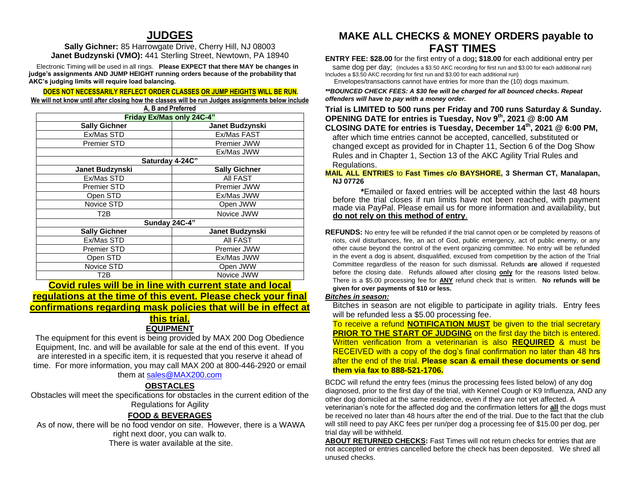## **JUDGES**

**Sally Gichner:** 85 Harrowgate Drive, Cherry Hill, NJ 08003 **Janet Budzynski (VMO):** 441 Sterling Street, Newtown, PA 18940

 Electronic Timing will be used in all rings. **Please EXPECT that there MAY be changes in judge's assignments AND JUMP HEIGHT running orders because of the probability that AKC's judging limits will require load balancing.**

#### **DOES NOT NECESSARILY REFLECT ORDER CLASSES OR JUMP HEIGHTS WILL BE RUN.**

**We will not know until after closing how the classes will be run Judges assignments below include A, B and Preferred** 

| Friday Ex/Mas only 24C-4" |                      |  |  |
|---------------------------|----------------------|--|--|
| <b>Sally Gichner</b>      | Janet Budzynski      |  |  |
| Ex/Mas STD                | Ex/Mas FAST          |  |  |
| <b>Premier STD</b>        | Premier JWW          |  |  |
|                           | Ex/Mas JWW           |  |  |
| Saturday 4-24C"           |                      |  |  |
| Janet Budzynski           | <b>Sally Gichner</b> |  |  |
| Ex/Mas STD                | All FAST             |  |  |
| <b>Premier STD</b>        | Premier JWW          |  |  |
| Open STD                  | Ex/Mas JWW           |  |  |
| Novice STD                | Open JWW             |  |  |
| T2B                       | Novice JWW           |  |  |
| Sunday 24C-4"             |                      |  |  |
| <b>Sally Gichner</b>      | Janet Budzynski      |  |  |
| Ex/Mas STD                | All FAST             |  |  |
| <b>Premier STD</b>        | Premier JWW          |  |  |
| Open STD                  | Ex/Mas JWW           |  |  |
| Novice STD                | Open JWW             |  |  |
| T2B                       | Novice JWW           |  |  |

**Covid rules will be in line with current state and local regulations at the time of this event. Please check your final confirmations regarding mask policies that will be in effect at** 

### **this trial. EQUIPMENT**

The equipment for this event is being provided by MAX 200 Dog Obedience Equipment, Inc. and will be available for sale at the end of this event. If you are interested in a specific item, it is requested that you reserve it ahead of time. For more information, you may call MAX 200 at 800-446-2920 or email them at [sales@MAX200.com](mailto:sales@MAX200.com) 

## **OBSTACLES**

Obstacles will meet the specifications for obstacles in the current edition of the Regulations for Agility

## **FOOD & BEVERAGES**

As of now, there will be no food vendor on site. However, there is a WAWA right next door, you can walk to. There is water available at the site.

## **MAKE ALL CHECKS & MONEY ORDERS payable to FAST TIMES**

**ENTRY FEE: \$28.00** for the first entry of a dog**; \$18.00** for each additional entry per

same dog per day; (Includes a \$3.50 AKC recording for first run and \$3.00 for each additional run) Includes a \$3.50 AKC recording for first run and \$3.00 for each additional run)

Envelopes/transactions cannot have entries for more than the (10) dogs maximum.

*\*\*BOUNCED CHECK FEES: A \$30 fee will be charged for all bounced checks. Repeat offenders will have to pay with a money order.*

**Trial is LIMITED to 500 runs per Friday and 700 runs Saturday & Sunday. OPENING DATE for entries is Tuesday, Nov 9 th, 2021 @ 8:00 AM CLOSING DATE for entries is Tuesday, December 14th, 2021 @ 6:00 PM,** after which time entries cannot be accepted, cancelled, substituted or changed except as provided for in Chapter 11, Section 6 of the Dog Show Rules and in Chapter 1, Section 13 of the AKC Agility Trial Rules and Regulations.

#### **MAIL ALL ENTRIES** to **Fast Times c/o BAYSHORE, 3 Sherman CT, Manalapan, NJ 07726**

 **\***Emailed or faxed entries will be accepted within the last 48 hours before the trial closes if run limits have not been reached, with payment made via PayPal. Please email us for more information and availability, but **do not rely on this method of entry**.

**REFUNDS:** No entry fee will be refunded if the trial cannot open or be completed by reasons of riots, civil disturbances, fire, an act of God, public emergency, act of public enemy, or any other cause beyond the control of the event organizing committee. No entry will be refunded in the event a dog is absent, disqualified, excused from competition by the action of the Trial Committee regardless of the reason for such dismissal. Refunds **are** allowed if requested before the closing date. Refunds allowed after closing **only** for the reasons listed below. There is a \$5.00 processing fee for **ANY** refund check that is written. **No refunds will be given for over payments of \$10 or less.**

### *Bitches in season:*

Bitches in season are not eligible to participate in agility trials. Entry fees will be refunded less a \$5.00 processing fee.

To receive a refund **NOTIFICATION MUST** be given to the trial secretary **PRIOR TO THE START OF JUDGING** on the first day the bitch is entered. Written verification from a veterinarian is also **REQUIRED** & must be RECEIVED with a copy of the dog's final confirmation no later than 48 hrs after the end of the trial. **Please scan & email these documents or send them via fax to 888-521-1706.**

BCDC will refund the entry fees (minus the processing fees listed below) of any dog diagnosed, prior to the first day of the trial, with Kennel Cough or K9 Influenza, AND any other dog domiciled at the same residence, even if they are not yet affected. A veterinarian's note for the affected dog and the confirmation letters for **all** the dogs must be received no later than 48 hours after the end of the trial. Due to the fact that the club will still need to pay AKC fees per run/per dog a processing fee of \$15.00 per dog, per trial day will be withheld.

**ABOUT RETURNED CHECKS:** Fast Times will not return checks for entries that are not accepted or entries cancelled before the check has been deposited. We shred all unused checks.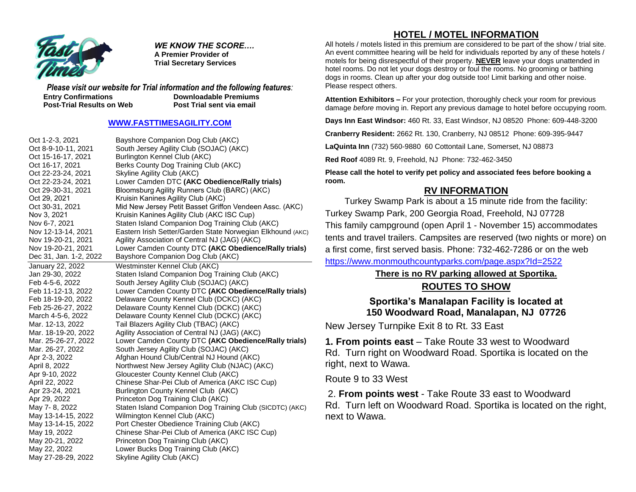

*WE KNOW THE SCORE….* **A Premier Provider of Trial Secretary Services**

*Please visit our website for Trial information and the following features:* **Entry Confirmations Downloadable Premiums Post-Trial Results on Web Post Trial sent via email** 

### **[WWW.FASTTIMESAGILITY.COM](http://www.fasttimesagility.com/)**

| Oct 1-2-3, 2021        | Bayshore Companion Dog Club (AKC)                          |
|------------------------|------------------------------------------------------------|
| Oct 8-9-10-11, 2021    | South Jersey Agility Club (SOJAC) (AKC)                    |
| Oct 15-16-17, 2021     | Burlington Kennel Club (AKC)                               |
| Oct 16-17, 2021        | Berks County Dog Training Club (AKC)                       |
| Oct 22-23-24, 2021     | Skyline Agility Club (AKC)                                 |
| Oct 22-23-24, 2021     | Lower Camden DTC (AKC Obedience/Rally trials)              |
| Oct 29-30-31, 2021     | Bloomsburg Agility Runners Club (BARC) (AKC)               |
| Oct 29, 2021           | Kruisin Kanines Agility Club (AKC)                         |
| Oct 30-31, 2021        | Mid New Jersey Petit Basset Griffon Vendeen Assc. (AKC)    |
| Nov 3, 2021            | Kruisin Kanines Agility Club (AKC ISC Cup)                 |
| Nov 6-7, 2021          | Staten Island Companion Dog Training Club (AKC)            |
| Nov 12-13-14, 2021     | Eastern Irish Setter/Garden State Norwegian Elkhound (AKC) |
| Nov 19-20-21, 2021     | Agility Association of Central NJ (JAG) (AKC)              |
| Nov 19-20-21, 2021     | Lower Camden County DTC (AKC Obedience/Rally trials)       |
| Dec 31, Jan. 1-2, 2022 | Bayshore Companion Dog Club (AKC)                          |
| January 22, 2022       | Westminster Kennel Club (AKC)                              |
| Jan 29-30, 2022        | Staten Island Companion Dog Training Club (AKC)            |
| Feb 4-5-6, 2022        | South Jersey Agility Club (SOJAC) (AKC)                    |
| Feb 11-12-13, 2022     | Lower Camden County DTC (AKC Obedience/Rally trials)       |
| Feb 18-19-20, 2022     | Delaware County Kennel Club (DCKC) (AKC)                   |
| Feb 25-26-27, 2022     | Delaware County Kennel Club (DCKC) (AKC)                   |
| March 4-5-6, 2022      | Delaware County Kennel Club (DCKC) (AKC)                   |
| Mar. 12-13, 2022       | Tail Blazers Agility Club (TBAC) (AKC)                     |
| Mar. 18-19-20, 2022    | Agility Association of Central NJ (JAG) (AKC)              |
| Mar. 25-26-27, 2022    | Lower Camden County DTC (AKC Obedience/Rally trials)       |
| Mar. 26-27, 2022       | South Jersey Agility Club (SOJAC) (AKC)                    |
| Apr 2-3, 2022          | Afghan Hound Club/Central NJ Hound (AKC)                   |
| April 8, 2022          | Northwest New Jersey Agility Club (NJAC) (AKC)             |
| Apr 9-10, 2022         | Gloucester County Kennel Club (AKC)                        |
| April 22, 2022         | Chinese Shar-Pei Club of America (AKC ISC Cup)             |
| Apr 23-24, 2021        | Burlington County Kennel Club (AKC)                        |
| Apr 29, 2022           | Princeton Dog Training Club (AKC)                          |
| May 7-8, 2022          | Staten Island Companion Dog Training Club (SICDTC) (AKC)   |
| May 13-14-15, 2022     | Wilmington Kennel Club (AKC)                               |
| May 13-14-15, 2022     | Port Chester Obedience Training Club (AKC)                 |
| May 19, 2022           | Chinese Shar-Pei Club of America (AKC ISC Cup)             |
| May 20-21, 2022        | Princeton Dog Training Club (AKC)                          |
| May 22, 2022           | Lower Bucks Dog Training Club (AKC)                        |
| May 27-28-29, 2022     | Skyline Agility Club (AKC)                                 |

## **HOTEL / MOTEL INFORMATION**

All hotels / motels listed in this premium are considered to be part of the show / trial site. An event committee hearing will be held for individuals reported by any of these hotels / motels for being disrespectful of their property. **NEVER** leave your dogs unattended in hotel rooms. Do not let your dogs destroy or foul the rooms. No grooming or bathing dogs in rooms. Clean up after your dog outside too! Limit barking and other noise. Please respect others.

**Attention Exhibitors –** For your protection, thoroughly check your room for previous damage *before* moving in. Report any previous damage to hotel before occupying room.

**Days Inn East Windsor:** 460 Rt. 33, East Windsor, NJ 08520 Phone: 609-448-3200

**Cranberry Resident:** 2662 Rt. 130, Cranberry, NJ 08512 Phone: 609-395-9447

**LaQuinta Inn** (732) 560-9880 60 Cottontail Lane, Somerset, NJ 08873

**Red Roof** 4089 Rt. 9, Freehold, NJ Phone: 732-462-3450

**Please call the hotel to verify pet policy and associated fees before booking a room.** 

## **RV INFORMATION**

Turkey Swamp Park is about a 15 minute ride from the facility: Turkey Swamp Park, 200 Georgia Road, Freehold, NJ 07728 This family campground (open April 1 - November 15) accommodates tents and travel trailers. Campsites are reserved (two nights or more) on a first come, first served basis. Phone: 732-462-7286 or on the web

<https://www.monmouthcountyparks.com/page.aspx?Id=2522>

## **There is no RV parking allowed at Sportika.**

## **ROUTES TO SHOW**

## **Sportika's Manalapan Facility is located at 150 Woodward Road, Manalapan, NJ 07726**

New Jersey Turnpike Exit 8 to Rt. 33 East

**1. From points east** – Take Route 33 west to Woodward Rd. Turn right on Woodward Road. Sportika is located on the right, next to Wawa.

Route 9 to 33 West

2. **From points west** - Take Route 33 east to Woodward Rd. Turn left on Woodward Road. Sportika is located on the right, next to Wawa.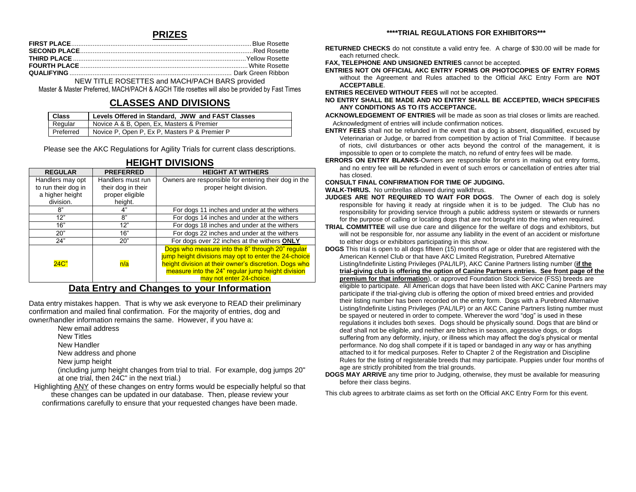### **PRIZES**

NEW TITLE ROSETTES and MACH/PACH BARS provided

Master & Master Preferred, MACH/PACH & AGCH Title rosettes will also be provided by Fast Times

## **CLASSES AND DIVISIONS**

| <b>Class</b> | Levels Offered in Standard, JWW and FAST Classes |
|--------------|--------------------------------------------------|
| Regular      | Novice A & B, Open, Ex, Masters & Premier        |
| Preferred    | Novice P, Open P, Ex P, Masters P & Premier P    |

Please see the AKC Regulations for Agility Trials for current class descriptions.

| <b>REGULAR</b>      | <b>PREFERRED</b>   | <b>HEIGHT AT WITHERS</b>                                                                                                                                                                                                                           |
|---------------------|--------------------|----------------------------------------------------------------------------------------------------------------------------------------------------------------------------------------------------------------------------------------------------|
| Handlers may opt    | Handlers must run  | Owners are responsible for entering their dog in the                                                                                                                                                                                               |
| to run their dog in | their dog in their | proper height division.                                                                                                                                                                                                                            |
| a higher height     | proper eligible    |                                                                                                                                                                                                                                                    |
| division.           | height.            |                                                                                                                                                                                                                                                    |
| 8"                  | 4"                 | For dogs 11 inches and under at the withers                                                                                                                                                                                                        |
| 12"                 | 8"                 | For dogs 14 inches and under at the withers                                                                                                                                                                                                        |
| 16"                 | 12"                | For dogs 18 inches and under at the withers                                                                                                                                                                                                        |
| 20"                 | 16"                | For dogs 22 inches and under at the withers                                                                                                                                                                                                        |
| 24"                 | 20"                | For dogs over 22 inches at the withers ONLY                                                                                                                                                                                                        |
| 24C                 | n/a                | Dogs who measure into the 8" through 20" regular<br>jump height divisions may opt to enter the 24-choice<br>height division at their owner's discretion. Dogs who<br>measure into the 24" regular jump height division<br>may not enter 24-choice. |

## **HEIGHT DIVISIONS**

### **Data Entry and Changes to your Information**

Data entry mistakes happen. That is why we ask everyone to READ their preliminary confirmation and mailed final confirmation. For the majority of entries, dog and owner/handler information remains the same. However, if you have a:

- New email address
- New Titles
- New Handler
- New address and phone
- New jump height

(including jump height changes from trial to trial. For example, dog jumps 20" at one trial, then 24C" in the next trial.)

Highlighting ANY of these changes on entry forms would be especially helpful so that these changes can be updated in our database. Then, please review your confirmations carefully to ensure that your requested changes have been made.

#### **\*\*\*\*TRIAL REGULATIONS FOR EXHIBITORS\*\*\***

**RETURNED CHECKS** do not constitute a valid entry fee. A charge of \$30.00 will be made for each returned check.

**FAX, TELEPHONE AND UNSIGNED ENTRIES** cannot be accepted.

**ENTRIES NOT ON OFFICIAL AKC ENTRY FORMS OR PHOTOCOPIES OF ENTRY FORMS** without the Agreement and Rules attached to the Official AKC Entry Form are **NOT ACCEPTABLE**.

**ENTRIES RECEIVED WITHOUT FEES** will not be accepted.

- **NO ENTRY SHALL BE MADE AND NO ENTRY SHALL BE ACCEPTED, WHICH SPECIFIES ANY CONDITIONS AS TO ITS ACCEPTANCE.**
- **ACKNOWLEDGEMENT OF ENTRIES** will be made as soon as trial closes or limits are reached. Acknowledgment of entries will include confirmation notices.
- **ENTRY FEES** shall not be refunded in the event that a dog is absent, disqualified, excused by Veterinarian or Judge, or barred from competition by action of Trial Committee. If because of riots, civil disturbances or other acts beyond the control of the management, it is impossible to open or to complete the match, no refund of entry fees will be made.
- **ERRORS ON ENTRY BLANKS**-Owners are responsible for errors in making out entry forms, and no entry fee will be refunded in event of such errors or cancellation of entries after trial has closed.

**CONSULT FINAL CONFIRMATION FOR TIME OF JUDGING.** 

**WALK-THRUS.** No umbrellas allowed during walkthrus.

- **JUDGES ARE NOT REQUIRED TO WAIT FOR DOGS**. The Owner of each dog is solely responsible for having it ready at ringside when it is to be judged. The Club has no responsibility for providing service through a public address system or stewards or runners for the purpose of calling or locating dogs that are not brought into the ring when required.
- **TRIAL COMMITTEE** will use due care and diligence for the welfare of dogs and exhibitors, but will not be responsible for, nor assume any liability in the event of an accident or misfortune to either dogs or exhibitors participating in this show.
- **DOGS** This trial is open to all dogs fifteen (15) months of age or older that are registered with the American Kennel Club or that have AKC Limited Registration, Purebred Alternative Listing/Indefinite Listing Privileges (PAL/ILP), AKC Canine Partners listing number (**if the trial-giving club is offering the option of Canine Partners entries. See front page of the premium for that information**), or approved Foundation Stock Service (FSS) breeds are eligible to participate*.* All American dogs that have been listed with AKC Canine Partners may participate if the trial-giving club is offering the option of mixed breed entries and provided their listing number has been recorded on the entry form. Dogs with a Purebred Alternative Listing/Indefinite Listing Privileges (PAL/ILP) or an AKC Canine Partners listing number must be spayed or neutered in order to compete. Wherever the word "dog" is used in these regulations it includes both sexes. Dogs should be physically sound. Dogs that are blind or deaf shall not be eligible, and neither are bitches in season, aggressive dogs, or dogs suffering from any deformity, injury, or illness which may affect the dog's physical or mental performance. No dog shall compete if it is taped or bandaged in any way or has anything attached to it for medical purposes. Refer to Chapter 2 of the Registration and Discipline Rules for the listing of registerable breeds that may participate. Puppies under four months of age are strictly prohibited from the trial grounds.
- **DOGS MAY ARRIVE** any time prior to Judging, otherwise, they must be available for measuring before their class begins.

This club agrees to arbitrate claims as set forth on the Official AKC Entry Form for this event.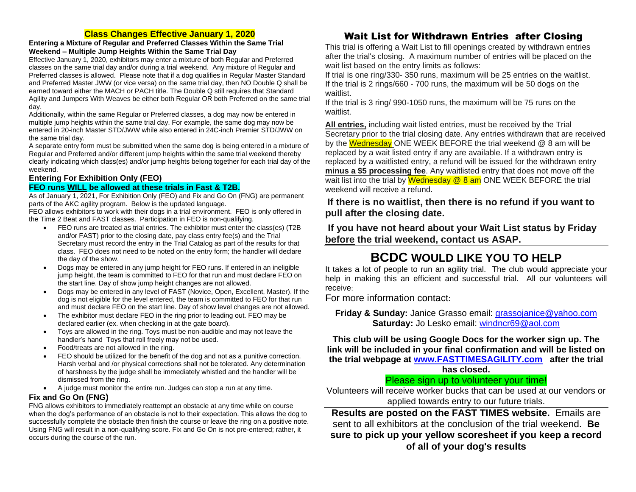### **Class Changes Effective January 1, 2020**

#### **Entering a Mixture of Regular and Preferred Classes Within the Same Trial Weekend – Multiple Jump Heights Within the Same Trial Day**

Effective January 1, 2020, exhibitors may enter a mixture of both Regular and Preferred classes on the same trial day and/or during a trial weekend. Any mixture of Regular and Preferred classes is allowed. Please note that if a dog qualifies in Regular Master Standard and Preferred Master JWW (or vice versa) on the same trial day, then NO Double Q shall be earned toward either the MACH or PACH title. The Double Q still requires that Standard Agility and Jumpers With Weaves be either both Regular OR both Preferred on the same trial day.

Additionally, within the same Regular or Preferred classes, a dog may now be entered in multiple jump heights within the same trial day. For example, the same dog may now be entered in 20-inch Master STD/JWW while also entered in 24C-inch Premier STD/JWW on the same trial day.

A separate entry form must be submitted when the same dog is being entered in a mixture of Regular and Preferred and/or different jump heights within the same trial weekend thereby clearly indicating which class(es) and/or jump heights belong together for each trial day of the weekend.

### **Entering For Exhibition Only (FEO)**

### **FEO runs WILL be allowed at these trials in Fast & T2B.**

As of January 1, 2021, For Exhibition Only (FEO) and Fix and Go On (FNG) are permanent parts of the AKC agility program. Below is the updated language.

FEO allows exhibitors to work with their dogs in a trial environment. FEO is only offered in the Time 2 Beat and FAST classes. Participation in FEO is non-qualifying.

- FEO runs are treated as trial entries. The exhibitor must enter the class(es) (T2B and/or FAST) prior to the closing date, pay class entry fee(s) and the Trial Secretary must record the entry in the Trial Catalog as part of the results for that class. FEO does not need to be noted on the entry form; the handler will declare the day of the show.
- Dogs may be entered in any jump height for FEO runs. If entered in an ineligible jump height, the team is committed to FEO for that run and must declare FEO on the start line. Day of show jump height changes are not allowed.
- Dogs may be entered in any level of FAST (Novice, Open, Excellent, Master). If the dog is not eligible for the level entered, the team is committed to FEO for that run and must declare FEO on the start line. Day of show level changes are not allowed.
- The exhibitor must declare FEO in the ring prior to leading out. FEO may be declared earlier (ex. when checking in at the gate board).
- Toys are allowed in the ring. Toys must be non-audible and may not leave the handler's hand Toys that roll freely may not be used.
- Food/treats are not allowed in the ring.
- FEO should be utilized for the benefit of the dog and not as a punitive correction. Harsh verbal and /or physical corrections shall not be tolerated. Any determination of harshness by the judge shall be immediately whistled and the handler will be dismissed from the ring.
- A judge must monitor the entire run. Judges can stop a run at any time.

### **Fix and Go On (FNG)**

FNG allows exhibitors to immediately reattempt an obstacle at any time while on course when the dog's performance of an obstacle is not to their expectation. This allows the dog to successfully complete the obstacle then finish the course or leave the ring on a positive note. Using FNG will result in a non-qualifying score. Fix and Go On is not pre-entered; rather, it occurs during the course of the run.

## Wait List for Withdrawn Entries after Closing

This trial is offering a Wait List to fill openings created by withdrawn entries after the trial's closing. A maximum number of entries will be placed on the wait list based on the entry limits as follows:

If trial is one ring/330- 350 runs, maximum will be 25 entries on the waitlist. If the trial is 2 rings/660 - 700 runs, the maximum will be 50 dogs on the waitlist.

If the trial is 3 ring/ 990-1050 runs, the maximum will be 75 runs on the waitlist.

**All entries,** including wait listed entries, must be received by the Trial Secretary prior to the trial closing date. Any entries withdrawn that are received by the Wednesday ONE WEEK BEFORE the trial weekend  $@$  8 am will be replaced by a wait listed entry if any are available. If a withdrawn entry is replaced by a waitlisted entry, a refund will be issued for the withdrawn entry **minus a \$5 processing fee**. Any waitlisted entry that does not move off the wait list into the trial by **Wednesday**  $@$  **8 am** ONE WEEK BEFORE the trial weekend will receive a refund.

## **If there is no waitlist, then there is no refund if you want to pull after the closing date.**

**If you have not heard about your Wait List status by Friday before the trial weekend, contact us ASAP.**

# **BCDC WOULD LIKE YOU TO HELP**

It takes a lot of people to run an agility trial. The club would appreciate your help in making this an efficient and successful trial. All our volunteers will receive:

For more information contact**:** 

**Friday & Sunday:** Janice Grasso email: [grassojanice@yahoo.com](mailto:grassojanice@yahoo.com) **Saturday:** Jo Lesko email: [windncr69@aol.com](mailto:windncr69@aol.com)

**This club will be using Google Docs for the worker sign up. The link will be included in your final confirmation and will be listed on the trial webpage at [www.FASTTIMESAGILITY.com](http://www.fasttimesagility.com/) after the trial** 

**has closed.**

## Please sign up to volunteer your time!

Volunteers will receive worker bucks that can be used at our vendors or applied towards entry to our future trials.

**Results are posted on the FAST TIMES website.** Emails are sent to all exhibitors at the conclusion of the trial weekend. **Be sure to pick up your yellow scoresheet if you keep a record of all of your dog's results**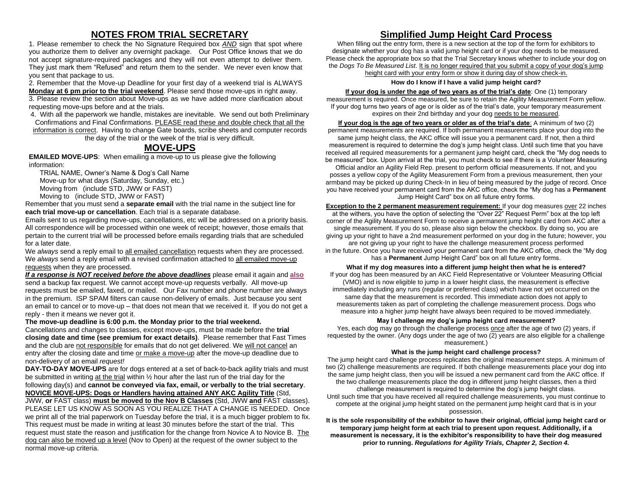## **NOTES FROM TRIAL SECRETARY**

1. Please remember to check the No Signature Required box *AND* sign that spot where you authorize them to deliver any overnight package. Our Post Office knows that we do not accept signature-required packages and they will not even attempt to deliver them. They just mark them "Refused" and return them to the sender. We never even know that you sent that package to us.

2. Remember that the Move-up Deadline for your first day of a weekend trial is ALWAYS **Monday at 6 pm prior to the trial weekend**. Please send those move-ups in right away.

3. Please review the section about Move-ups as we have added more clarification about requesting move-ups before and at the trials.

4. With all the paperwork we handle, mistakes are inevitable. We send out both Preliminary Confirmations and Final Confirmations. PLEASE read these and double check that all the information is correct. Having to change Gate boards, scribe sheets and computer records the day of the trial or the week of the trial is very difficult.

## **MOVE-UPS**

**EMAILED MOVE-UPS**: When emailing a move-up to us please give the following information:

TRIAL NAME, Owner's Name & Dog's Call Name Move-up for what days (Saturday, Sunday, etc.)

Moving from (include STD, JWW or FAST)

Moving to (include STD, JWW or FAST)

Remember that you must send a **separate email** with the trial name in the subject line for **each trial move-up or cancellation**. Each trial is a separate database.

Emails sent to us regarding move-ups, cancellations, etc will be addressed on a priority basis. All correspondence will be processed within one week of receipt; however, those emails that pertain to the current trial will be processed before emails regarding trials that are scheduled for a later date.

We *always* send a reply email to all emailed cancellation requests when they are processed. We *always* send a reply email with a revised confirmation attached to all emailed move-up requests when they are processed.

*If a response is NOT received before the above deadlines* please email it again and **also** send a backup fax request. We cannot accept move-up requests verbally. All move-up requests must be emailed, faxed, or mailed. Our Fax number and phone number are always in the premium. ISP SPAM filters can cause non-delivery of emails. Just because you sent an email to cancel or to move-up – that does not mean that we received it. If you do not get a reply - then it means we never got it.

### **The move-up deadline is 6:00 p.m. the Monday prior to the trial weekend.**

Cancellations and changes to classes, except move-ups, must be made before the **trial closing date and time (see premium for exact details)**. Please remember that Fast Times and the club are not responsible for emails that do not get delivered. We will not cancel an entry after the closing date and time or make a move-up after the move-up deadline due to non-delivery of an email *request!*

**DAY-TO-DAY MOVE-UPS** are for dogs entered at a set of back-to-back agility trials and must be submitted in writing at the trial within ½ hour after the last run of the trial day for the following day(s) and **cannot be conveyed via fax, email, or verbally to the trial secretary**. **NOVICE MOVE-UPS: Dogs or Handlers having attained ANY AKC Agility Title** (Std, JWW, **or** FAST class) **must be moved to the Nov B Classes** (Std, JWW **and** FAST classes).

PLEASE LET US KNOW AS SOON AS YOU REALIZE THAT A CHANGE IS NEEDED. Once we print all of the trial paperwork on Tuesday before the trial, it is a much bigger problem to fix. This request must be made in writing at least 30 minutes before the start of the trial. This request must state the reason and justification for the change from Novice A to Novice B. The dog can also be moved up a level (Nov to Open) at the request of the owner subject to the normal move-up criteria.

## **Simplified Jump Height Card Process**

When filling out the entry form, there is a new section at the top of the form for exhibitors to designate whether your dog has a valid jump height card or if your dog needs to be measured. Please check the appropriate box so that the Trial Secretary knows whether to include your dog on the *Dogs To Be Measured List*. It is no longer required that you submit a copy of your dog's jump height card with your entry form or show it during day of show check-in.

### **How do I know if I have a valid jump height card?**

## **If your dog is under the age of two years as of the trial's date**: One (1) temporary

measurement is required. Once measured, be sure to retain the Agility Measurement Form yellow. If your dog turns two years of age or is older as of the trial's date, your temporary measurement expires on their 2nd birthday and your dog needs to be measured.

**If your dog is the age of two years or older as of the trial's date**: A minimum of two (2) permanent measurements are required. If both permanent measurements place your dog into the same jump height class, the AKC office will issue you a permanent card. If not, then a third measurement is required to determine the dog's jump height class. Until such time that you have received all required measurements for a permanent jump height card, check the "My dog needs to be measured" box. Upon arrival at the trial, you must check to see if there is a Volunteer Measuring

Official and/or an Agility Field Rep. present to perform official measurements. If not, and you posses a yellow copy of the Agility Measurement Form from a previous measurement, then your armband may be picked up during Check-In in lieu of being measured by the judge of record. Once you have received your permanent card from the AKC office, check the "My dog has a **Permanent** Jump Height Card" box on all future entry forms.

**Exception to the 2 permanent measurement requirement:** If your dog measures over 22 inches at the withers, you have the option of selecting the "Over 22" Request Perm" box at the top left corner of the Agility Measurement Form to receive a permanent jump height card from AKC after a single measurement. If you do so, please also sign below the checkbox. By doing so, you are giving up your right to have a 2nd measurement performed on your dog in the future; however, you are not giving up your right to have the challenge measurement process performed in the future. Once you have received your permanent card from the AKC office, check the "My dog has a **Permanent** Jump Height Card" box on all future entry forms.

**What if my dog measures into a different jump height then what he is entered?**

If your dog has been measured by an AKC Field Representative or Volunteer Measuring Official (VMO) and is now eligible to jump in a lower height class, the measurement is effective immediately including any runs (regular or preferred class) which have not yet occurred on the same day that the measurement is recorded. This immediate action does not apply to measurements taken as part of completing the challenge measurement process. Dogs who measure into a higher jump height have always been required to be moved immediately.

### **May I challenge my dog's jump height card measurement?**

Yes, each dog may go through the challenge process once after the age of two (2) years, if requested by the owner. (Any dogs under the age of two (2) years are also eligible for a challenge measurement.)

### **What is the jump height card challenge process?**

The jump height card challenge process replicates the original measurement steps. A minimum of two (2) challenge measurements are required. If both challenge measurements place your dog into the same jump height class, then you will be issued a new permanent card from the AKC office. If the two challenge measurements place the dog in different jump height classes, then a third challenge measurement is required to determine the dog's jump height class. Until such time that you have received all required challenge measurements, you must continue to compete at the original jump height stated on the permanent jump height card that is in your possession.

**It is the sole responsibility of the exhibitor to have their original, official jump height card or temporary jump height form at each trial to present upon request. Additionally, if a measurement is necessary, it is the exhibitor's responsibility to have their dog measured prior to running.** *Regulations for Agility Trials, Chapter 2, Section 4.*